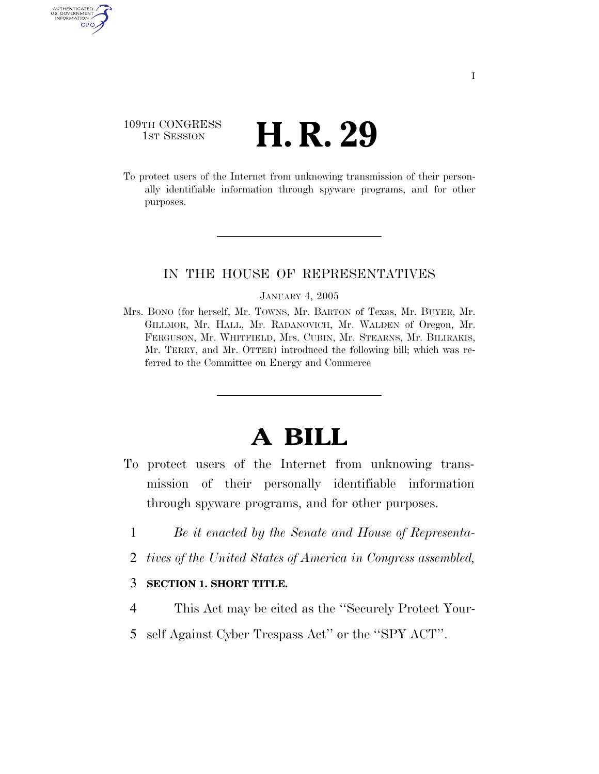## 109TH CONGRESS <sup>TH CONGRESS</sup> **H. R. 29**

AUTHENTICATED U.S. GOVERNMENT GPO

> To protect users of the Internet from unknowing transmission of their personally identifiable information through spyware programs, and for other purposes.

### IN THE HOUSE OF REPRESENTATIVES

#### JANUARY 4, 2005

Mrs. BONO (for herself, Mr. TOWNS, Mr. BARTON of Texas, Mr. BUYER, Mr. GILLMOR, Mr. HALL, Mr. RADANOVICH, Mr. WALDEN of Oregon, Mr. FERGUSON, Mr. WHITFIELD, Mrs. CUBIN, Mr. STEARNS, Mr. BILIRAKIS, Mr. TERRY, and Mr. OTTER) introduced the following bill; which was referred to the Committee on Energy and Commerce

# **A BILL**

- To protect users of the Internet from unknowing transmission of their personally identifiable information through spyware programs, and for other purposes.
	- 1 *Be it enacted by the Senate and House of Representa-*
	- 2 *tives of the United States of America in Congress assembled,*

#### 3 **SECTION 1. SHORT TITLE.**

- 4 This Act may be cited as the ''Securely Protect Your-
- 5 self Against Cyber Trespass Act'' or the ''SPY ACT''.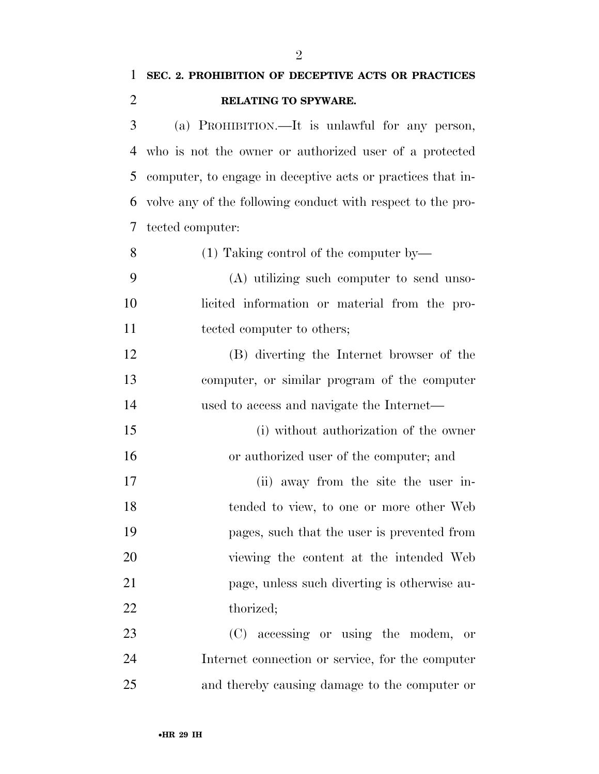**SEC. 2. PROHIBITION OF DECEPTIVE ACTS OR PRACTICES** 

| $\overline{2}$ | RELATING TO SPYWARE.                                        |
|----------------|-------------------------------------------------------------|
| 3              | (a) PROHIBITION.—It is unlawful for any person,             |
| 4              | who is not the owner or authorized user of a protected      |
| 5              | computer, to engage in deceptive acts or practices that in- |
| 6              | volve any of the following conduct with respect to the pro- |
| 7              | tected computer:                                            |
| 8              | $(1)$ Taking control of the computer by—                    |
| 9              | (A) utilizing such computer to send unso-                   |
| 10             | licited information or material from the pro-               |
| 11             | tected computer to others;                                  |
| 12             | (B) diverting the Internet browser of the                   |
| 13             | computer, or similar program of the computer                |
| 14             | used to access and navigate the Internet—                   |
| 15             | (i) without authorization of the owner                      |
| 16             | or authorized user of the computer; and                     |
| 17             | (ii) away from the site the user in-                        |
| 18             | tended to view, to one or more other Web                    |
| 19             | pages, such that the user is prevented from                 |
| 20             | viewing the content at the intended Web                     |
| 21             | page, unless such diverting is otherwise au-                |
| 22             | thorized;                                                   |
| 23             | (C) accessing or using the modem,<br>or                     |
| 24             | Internet connection or service, for the computer            |
| 25             | and thereby causing damage to the computer or               |
|                |                                                             |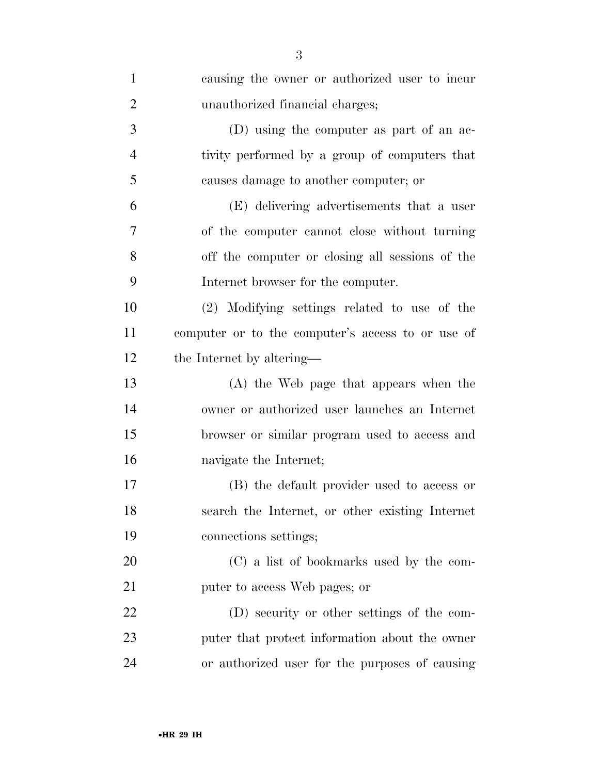| $\mathbf{1}$   | causing the owner or authorized user to incur     |
|----------------|---------------------------------------------------|
| $\overline{2}$ | unauthorized financial charges;                   |
| 3              | (D) using the computer as part of an ac-          |
| $\overline{4}$ | tivity performed by a group of computers that     |
| 5              | causes damage to another computer; or             |
| 6              | (E) delivering advertisements that a user         |
| $\overline{7}$ | of the computer cannot close without turning      |
| 8              | off the computer or closing all sessions of the   |
| 9              | Internet browser for the computer.                |
| 10             | (2) Modifying settings related to use of the      |
| 11             | computer or to the computer's access to or use of |
| 12             | the Internet by altering—                         |
| 13             | (A) the Web page that appears when the            |
| 14             | owner or authorized user launches an Internet     |
| 15             | browser or similar program used to access and     |
| 16             | navigate the Internet;                            |
| 17             | (B) the default provider used to access or        |
| 18             | search the Internet, or other existing Internet   |
| 19             | connections settings;                             |
| 20             | (C) a list of bookmarks used by the com-          |
| 21             | puter to access Web pages; or                     |
| 22             | (D) security or other settings of the com-        |
| 23             | puter that protect information about the owner    |
| 24             | or authorized user for the purposes of causing    |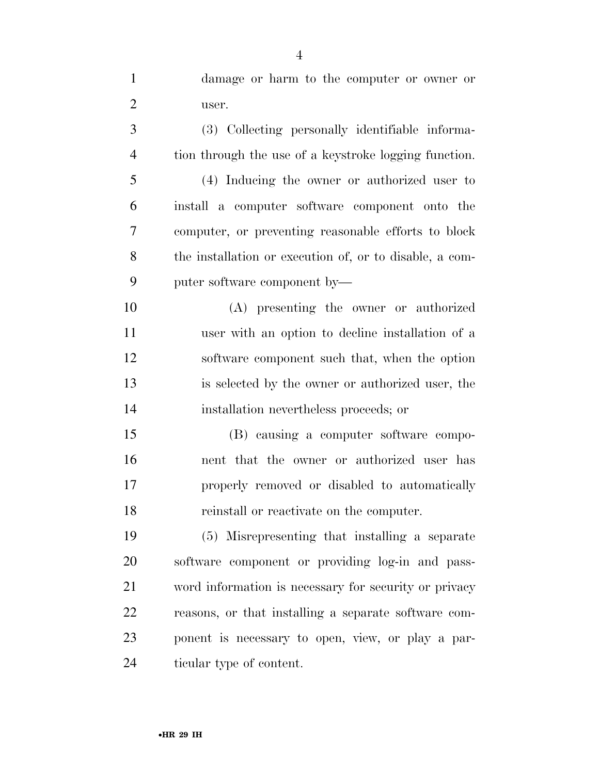damage or harm to the computer or owner or user.

 (3) Collecting personally identifiable informa-tion through the use of a keystroke logging function.

 (4) Inducing the owner or authorized user to install a computer software component onto the computer, or preventing reasonable efforts to block the installation or execution of, or to disable, a com-puter software component by—

 (A) presenting the owner or authorized user with an option to decline installation of a software component such that, when the option is selected by the owner or authorized user, the installation nevertheless proceeds; or

 (B) causing a computer software compo- nent that the owner or authorized user has properly removed or disabled to automatically reinstall or reactivate on the computer.

 (5) Misrepresenting that installing a separate software component or providing log-in and pass- word information is necessary for security or privacy reasons, or that installing a separate software com- ponent is necessary to open, view, or play a par-ticular type of content.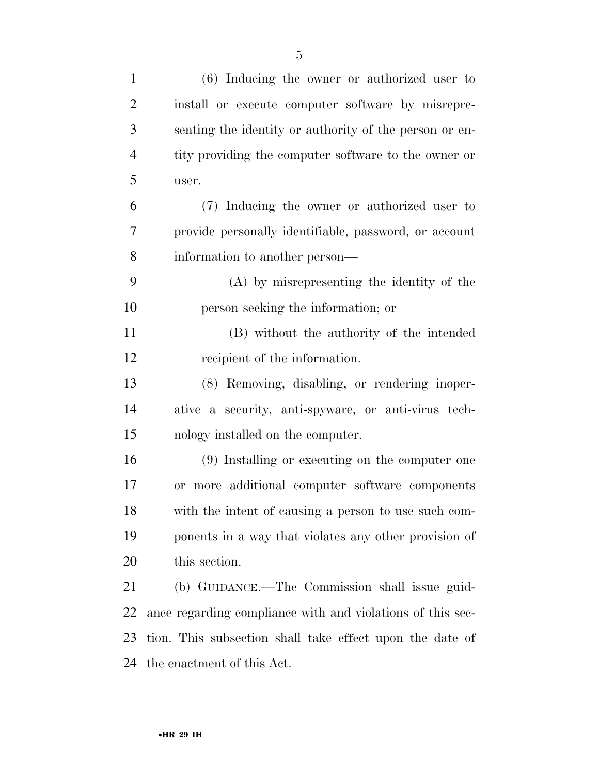| $\mathbf{1}$   | $(6)$ Inducing the owner or authorized user to             |
|----------------|------------------------------------------------------------|
| $\overline{2}$ | install or execute computer software by misrepre-          |
| 3              | senting the identity or authority of the person or en-     |
| $\overline{4}$ | tity providing the computer software to the owner or       |
| 5              | user.                                                      |
| 6              | (7) Inducing the owner or authorized user to               |
| 7              | provide personally identifiable, password, or account      |
| 8              | information to another person—                             |
| 9              | (A) by misrepresenting the identity of the                 |
| 10             | person seeking the information; or                         |
| 11             | (B) without the authority of the intended                  |
| 12             | recipient of the information.                              |
| 13             | (8) Removing, disabling, or rendering inoper-              |
| 14             | ative a security, anti-spyware, or anti-virus tech-        |
| 15             | nology installed on the computer.                          |
| 16             | (9) Installing or executing on the computer one            |
| 17             | or more additional computer software components            |
| 18             | with the intent of causing a person to use such com-       |
| 19             | ponents in a way that violates any other provision of      |
| 20             | this section.                                              |
| 21             | (b) GUIDANCE.—The Commission shall issue guid-             |
| 22             | ance regarding compliance with and violations of this sec- |
| 23             | tion. This subsection shall take effect upon the date of   |
| 24             | the enactment of this Act.                                 |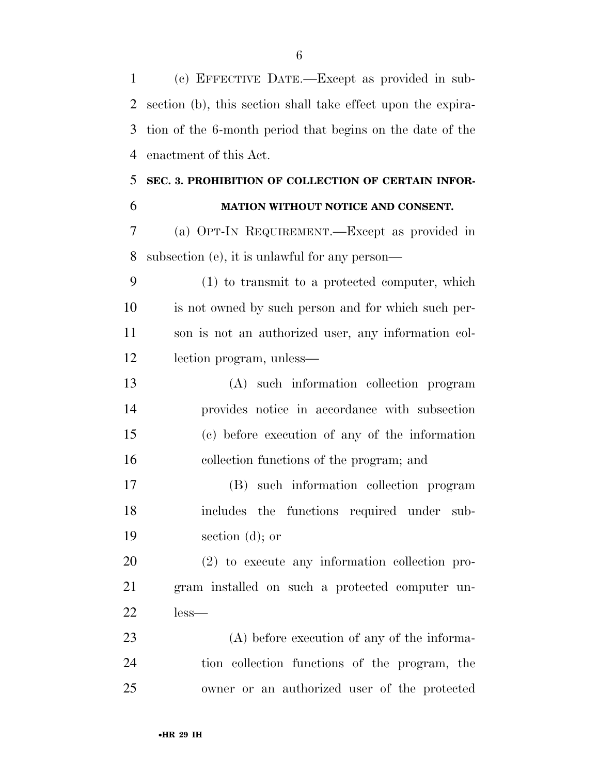(c) EFFECTIVE DATE.—Except as provided in sub- section (b), this section shall take effect upon the expira- tion of the 6-month period that begins on the date of the enactment of this Act.

# **SEC. 3. PROHIBITION OF COLLECTION OF CERTAIN INFOR-**

### **MATION WITHOUT NOTICE AND CONSENT.**

 (a) OPT-IN REQUIREMENT.—Except as provided in subsection (e), it is unlawful for any person—

 (1) to transmit to a protected computer, which is not owned by such person and for which such per- son is not an authorized user, any information col-lection program, unless—

 (A) such information collection program provides notice in accordance with subsection (c) before execution of any of the information collection functions of the program; and

 (B) such information collection program includes the functions required under sub-section (d); or

 (2) to execute any information collection pro- gram installed on such a protected computer un-less—

 (A) before execution of any of the informa- tion collection functions of the program, the owner or an authorized user of the protected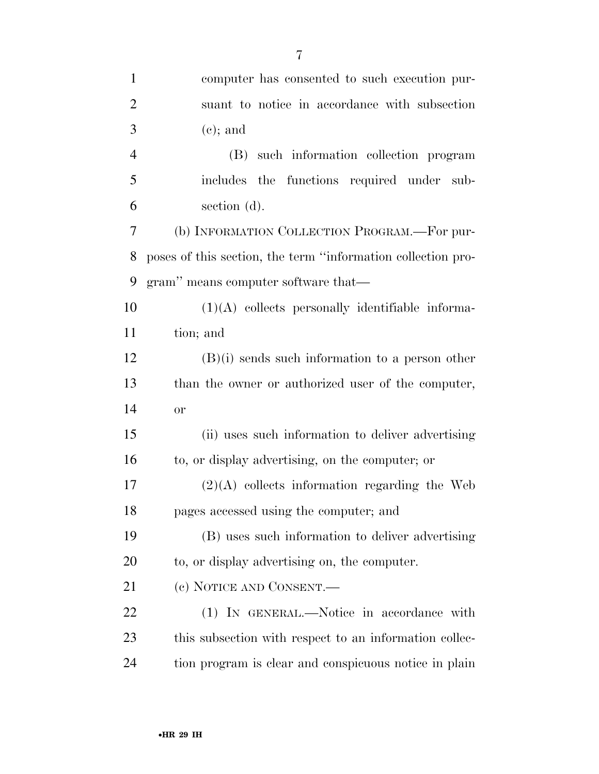| $\mathbf{1}$   | computer has consented to such execution pur-                |
|----------------|--------------------------------------------------------------|
| $\overline{2}$ | suant to notice in accordance with subsection                |
| 3              | $(e)$ ; and                                                  |
| $\overline{4}$ | (B) such information collection program                      |
| 5              | includes the functions required under sub-                   |
| 6              | section (d).                                                 |
| 7              | (b) INFORMATION COLLECTION PROGRAM.—For pur-                 |
| 8              | poses of this section, the term "information collection pro- |
| 9              | gram" means computer software that—                          |
| 10             | $(1)(A)$ collects personally identifiable informa-           |
| 11             | tion; and                                                    |
| 12             | $(B)(i)$ sends such information to a person other            |
| 13             | than the owner or authorized user of the computer,           |
| 14             | or                                                           |
| 15             | (ii) uses such information to deliver advertising            |
| 16             | to, or display advertising, on the computer; or              |
| 17             | $(2)(A)$ collects information regarding the Web              |
| 18             | pages accessed using the computer; and                       |
| 19             | (B) uses such information to deliver advertising             |
| 20             | to, or display advertising on, the computer.                 |
| 21             | (c) NOTICE AND CONSENT.—                                     |
| 22             | (1) IN GENERAL.—Notice in accordance with                    |
| 23             | this subsection with respect to an information collec-       |
| 24             | tion program is clear and conspicuous notice in plain        |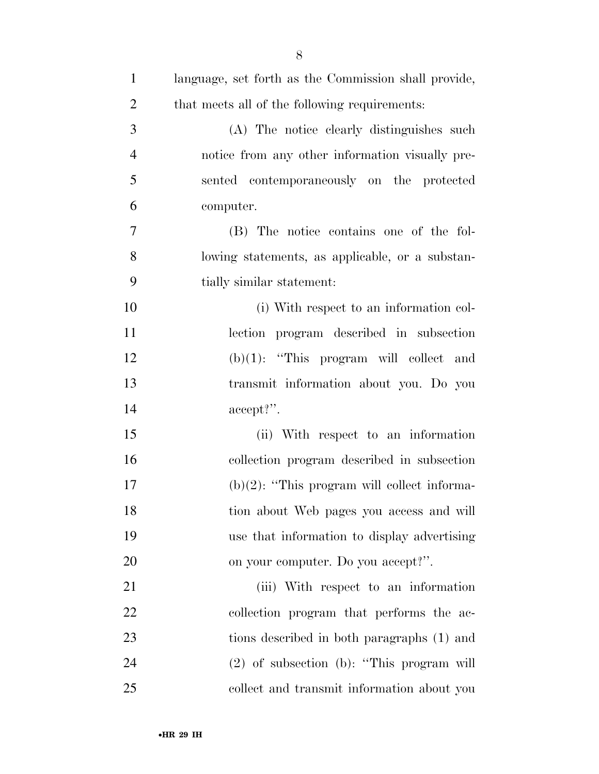| $\mathbf{1}$   | language, set forth as the Commission shall provide, |
|----------------|------------------------------------------------------|
| $\overline{2}$ | that meets all of the following requirements:        |
| 3              | (A) The notice clearly distinguishes such            |
| $\overline{4}$ | notice from any other information visually pre-      |
| 5              | sented contemporaneously on the protected            |
| 6              | computer.                                            |
| 7              | (B) The notice contains one of the fol-              |
| 8              | lowing statements, as applicable, or a substan-      |
| 9              | tially similar statement:                            |
| 10             | (i) With respect to an information col-              |
| 11             | lection program described in subsection              |
| 12             | $(b)(1)$ : "This program will collect and            |
| 13             | transmit information about you. Do you               |
| 14             | $accept?$ .                                          |
| 15             | (ii) With respect to an information                  |
| 16             | collection program described in subsection           |
| 17             | $(b)(2)$ : "This program will collect informa-       |
| 18             | tion about Web pages you access and will             |
| 19             | use that information to display advertising          |
| 20             | on your computer. Do you accept?".                   |
| 21             | (iii) With respect to an information                 |
| 22             | collection program that performs the ac-             |
| 23             | tions described in both paragraphs (1) and           |
| 24             | $(2)$ of subsection (b): "This program will          |
| 25             | collect and transmit information about you           |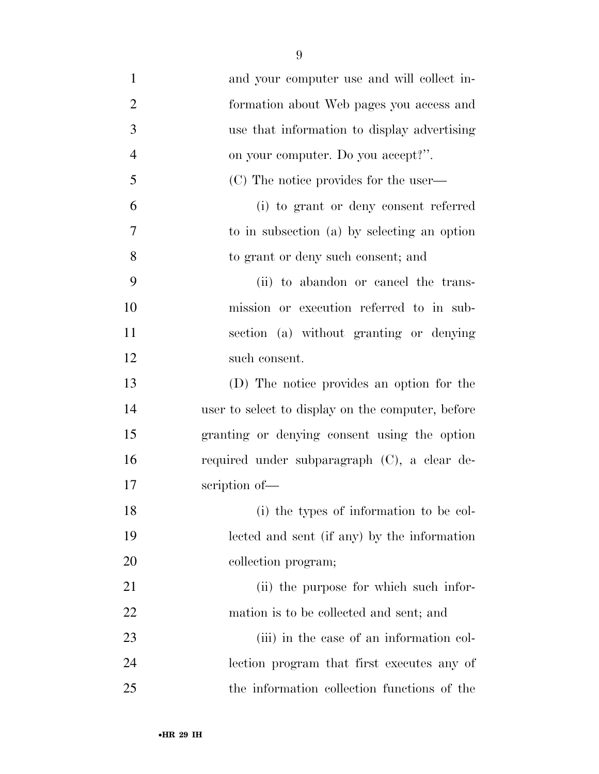and your computer use and will collect in- formation about Web pages you access and use that information to display advertising on your computer. Do you accept?''. (C) The notice provides for the user— (i) to grant or deny consent referred to in subsection (a) by selecting an option to grant or deny such consent; and (ii) to abandon or cancel the trans- mission or execution referred to in sub- section (a) without granting or denying such consent. (D) The notice provides an option for the user to select to display on the computer, before granting or denying consent using the option required under subparagraph (C), a clear de- scription of— (i) the types of information to be col- lected and sent (if any) by the information 20 collection program; 21 (ii) the purpose for which such infor- mation is to be collected and sent; and 23 (iii) in the case of an information col- lection program that first executes any of the information collection functions of the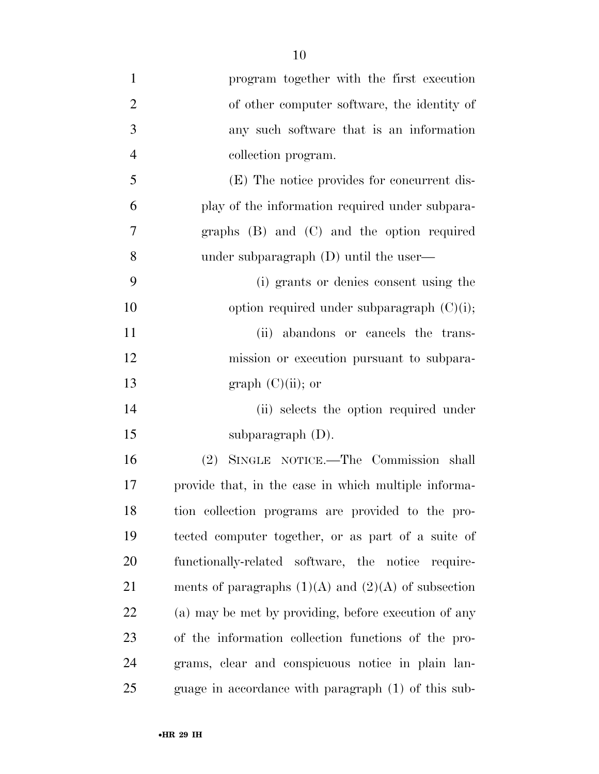| $\mathbf{1}$   | program together with the first execution               |
|----------------|---------------------------------------------------------|
| $\overline{2}$ | of other computer software, the identity of             |
| 3              | any such software that is an information                |
| $\overline{4}$ | collection program.                                     |
| 5              | (E) The notice provides for concurrent dis-             |
| 6              | play of the information required under subpara-         |
| $\overline{7}$ | graphs $(B)$ and $(C)$ and the option required          |
| 8              | under subparagraph $(D)$ until the user—                |
| 9              | (i) grants or denies consent using the                  |
| 10             | option required under subparagraph $(C)(i)$ ;           |
| 11             | (ii) abandons or cancels the trans-                     |
| 12             | mission or execution pursuant to subpara-               |
| 13             | graph $(C)(ii)$ ; or                                    |
| 14             | (ii) selects the option required under                  |
| 15             | subparagraph $(D)$ .                                    |
| 16             | (2) SINGLE NOTICE.—The Commission shall                 |
| 17             | provide that, in the case in which multiple informa-    |
| 18             | tion collection programs are provided to the pro-       |
| 19             | tected computer together, or as part of a suite of      |
| 20             | functionally-related software, the notice require-      |
| 21             | ments of paragraphs $(1)(A)$ and $(2)(A)$ of subsection |
| 22             | (a) may be met by providing, before execution of any    |
| 23             | of the information collection functions of the pro-     |
| 24             | grams, clear and conspicuous notice in plain lan-       |
| 25             | guage in accordance with paragraph (1) of this sub-     |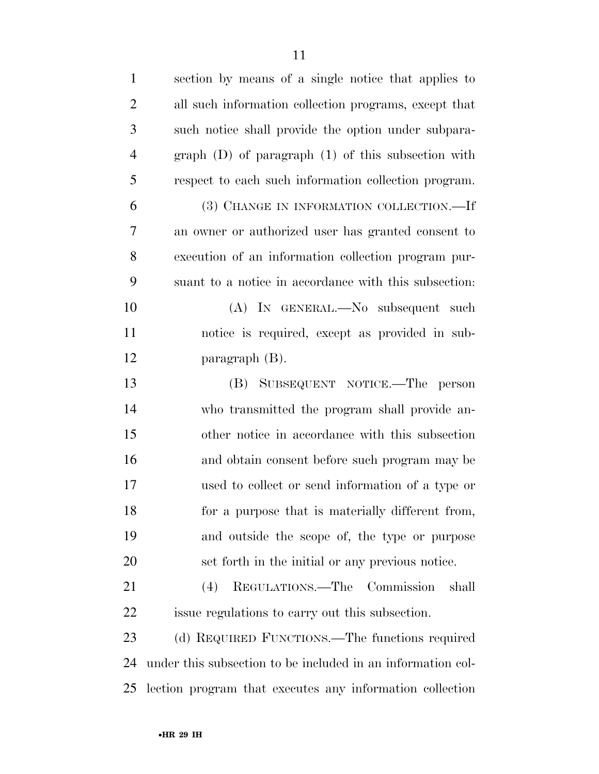| $\mathbf{1}$   | section by means of a single notice that applies to         |
|----------------|-------------------------------------------------------------|
| $\overline{2}$ | all such information collection programs, except that       |
| 3              | such notice shall provide the option under subpara-         |
| $\overline{4}$ | $graph$ (D) of paragraph (1) of this subsection with        |
| 5              | respect to each such information collection program.        |
| 6              | (3) CHANGE IN INFORMATION COLLECTION.—If                    |
| $\overline{7}$ | an owner or authorized user has granted consent to          |
| 8              | execution of an information collection program pur-         |
| 9              | suant to a notice in accordance with this subsection.       |
| 10             | (A) IN GENERAL.—No subsequent such                          |
| 11             | notice is required, except as provided in sub-              |
| 12             | paragraph $(B)$ .                                           |
| 13             | (B) SUBSEQUENT NOTICE.—The person                           |
| 14             | who transmitted the program shall provide an-               |
| 15             | other notice in accordance with this subsection             |
| 16             | and obtain consent before such program may be               |
| 17             | used to collect or send information of a type or            |
| 18             | for a purpose that is materially different from,            |
| 19             | and outside the scope of, the type or purpose               |
| 20             | set forth in the initial or any previous notice.            |
| 21             | (4) REGULATIONS.—The Commission<br>shall                    |
| 22             | is is regulations to carry out this subsection.             |
| 23             | (d) REQUIRED FUNCTIONS.—The functions required              |
| 24             | under this subsection to be included in an information col- |
| 25             | lection program that executes any information collection    |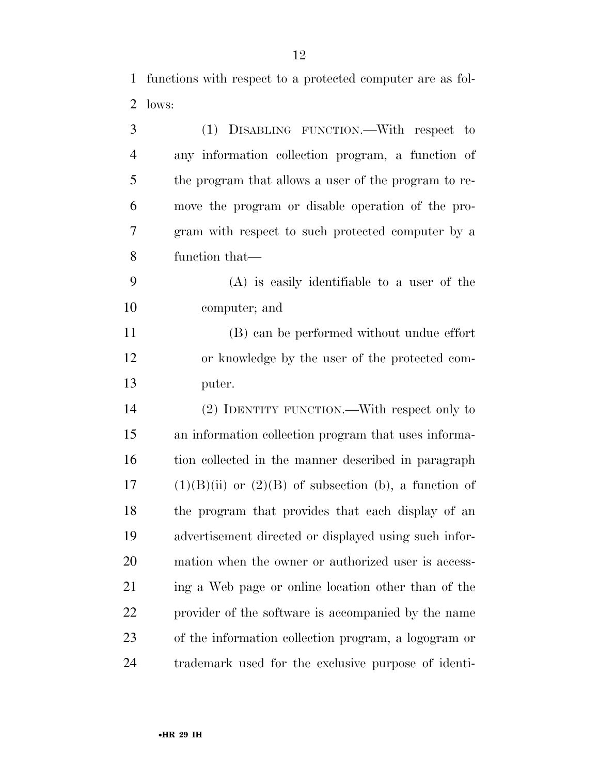functions with respect to a protected computer are as fol-lows:

| 3              | (1) DISABLING FUNCTION.—With respect to                   |
|----------------|-----------------------------------------------------------|
| $\overline{4}$ | any information collection program, a function of         |
| 5              | the program that allows a user of the program to re-      |
| 6              | move the program or disable operation of the pro-         |
| 7              | gram with respect to such protected computer by a         |
| 8              | function that—                                            |
| 9              | $(A)$ is easily identifiable to a user of the             |
| 10             | computer; and                                             |
| 11             | (B) can be performed without undue effort                 |
| 12             | or knowledge by the user of the protected com-            |
| 13             | puter.                                                    |
| 14             | (2) IDENTITY FUNCTION.—With respect only to               |
| 15             | an information collection program that uses informa-      |
| 16             | tion collected in the manner described in paragraph       |
| 17             | $(1)(B)(ii)$ or $(2)(B)$ of subsection (b), a function of |
| 18             | the program that provides that each display of an         |
| 19             | advertisement directed or displayed using such infor-     |
| 20             | mation when the owner or authorized user is access-       |
| 21             | ing a Web page or online location other than of the       |
| 22             | provider of the software is accompanied by the name       |
| 23             | of the information collection program, a logogram or      |
| 24             | trademark used for the exclusive purpose of identi-       |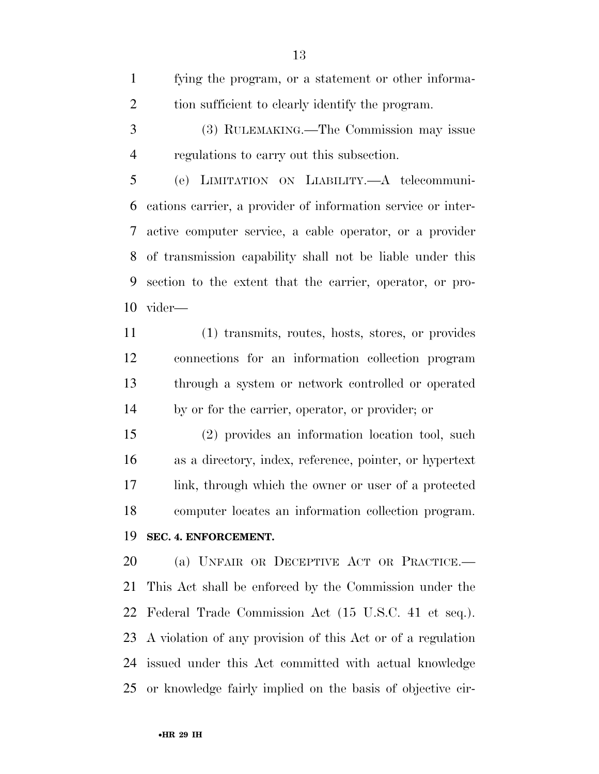fying the program, or a statement or other informa-tion sufficient to clearly identify the program.

 (3) RULEMAKING.—The Commission may issue regulations to carry out this subsection.

 (e) LIMITATION ON LIABILITY.—A telecommuni- cations carrier, a provider of information service or inter- active computer service, a cable operator, or a provider of transmission capability shall not be liable under this section to the extent that the carrier, operator, or pro-vider—

 (1) transmits, routes, hosts, stores, or provides connections for an information collection program through a system or network controlled or operated by or for the carrier, operator, or provider; or

 (2) provides an information location tool, such as a directory, index, reference, pointer, or hypertext link, through which the owner or user of a protected computer locates an information collection program. **SEC. 4. ENFORCEMENT.** 

 (a) UNFAIR OR DECEPTIVE ACT OR PRACTICE.— This Act shall be enforced by the Commission under the Federal Trade Commission Act (15 U.S.C. 41 et seq.). A violation of any provision of this Act or of a regulation issued under this Act committed with actual knowledge or knowledge fairly implied on the basis of objective cir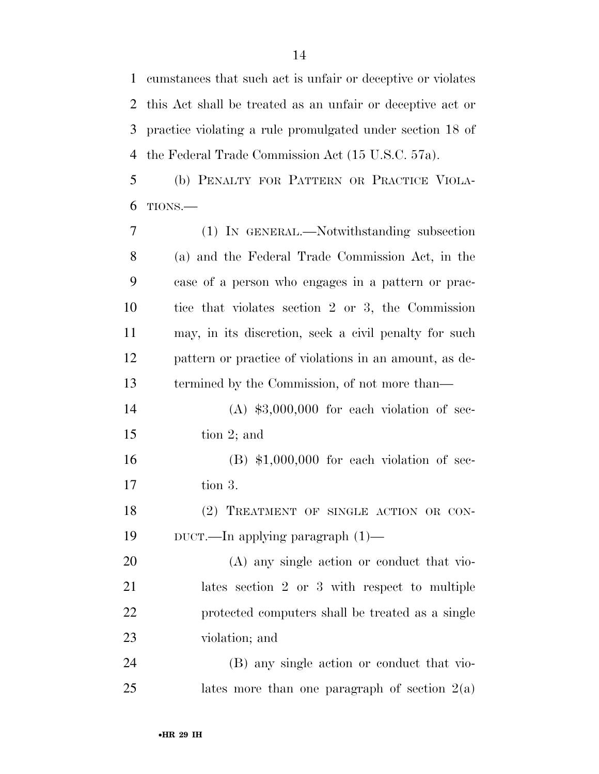cumstances that such act is unfair or deceptive or violates this Act shall be treated as an unfair or deceptive act or practice violating a rule promulgated under section 18 of the Federal Trade Commission Act (15 U.S.C. 57a).

 (b) PENALTY FOR PATTERN OR PRACTICE VIOLA-TIONS.—

 (1) IN GENERAL.—Notwithstanding subsection (a) and the Federal Trade Commission Act, in the case of a person who engages in a pattern or prac- tice that violates section 2 or 3, the Commission may, in its discretion, seek a civil penalty for such pattern or practice of violations in an amount, as de- termined by the Commission, of not more than— (A) \$3,000,000 for each violation of sec- tion 2; and (B) \$1,000,000 for each violation of sec- tion 3. 18 (2) TREATMENT OF SINGLE ACTION OR CON- DUCT.—In applying paragraph (1)— (A) any single action or conduct that vio- lates section 2 or 3 with respect to multiple protected computers shall be treated as a single violation; and (B) any single action or conduct that vio-25 lates more than one paragraph of section  $2(a)$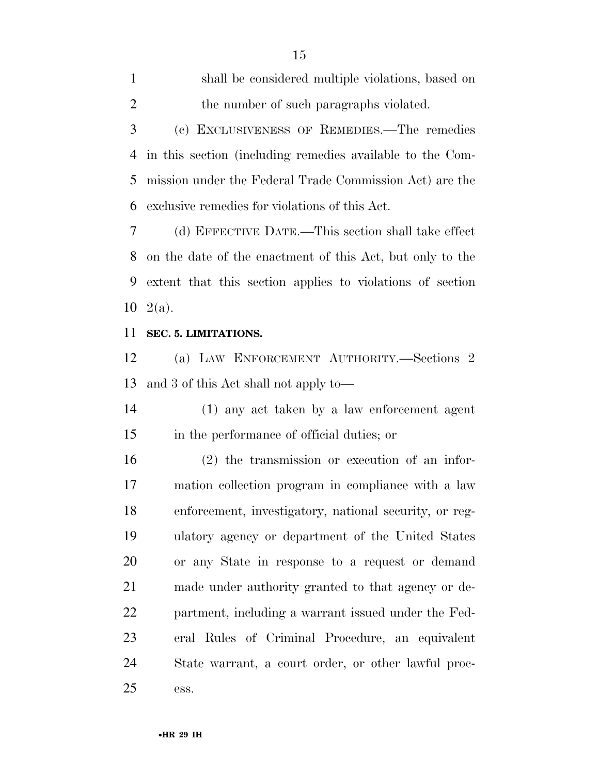shall be considered multiple violations, based on 2 the number of such paragraphs violated. (c) EXCLUSIVENESS OF REMEDIES.—The remedies in this section (including remedies available to the Com- mission under the Federal Trade Commission Act) are the exclusive remedies for violations of this Act.

 (d) EFFECTIVE DATE.—This section shall take effect on the date of the enactment of this Act, but only to the extent that this section applies to violations of section  $10 \text{ } 2(a)$ .

#### **SEC. 5. LIMITATIONS.**

 (a) LAW ENFORCEMENT AUTHORITY.—Sections 2 and 3 of this Act shall not apply to—

 (1) any act taken by a law enforcement agent in the performance of official duties; or

 (2) the transmission or execution of an infor- mation collection program in compliance with a law enforcement, investigatory, national security, or reg- ulatory agency or department of the United States or any State in response to a request or demand made under authority granted to that agency or de- partment, including a warrant issued under the Fed- eral Rules of Criminal Procedure, an equivalent State warrant, a court order, or other lawful proc-ess.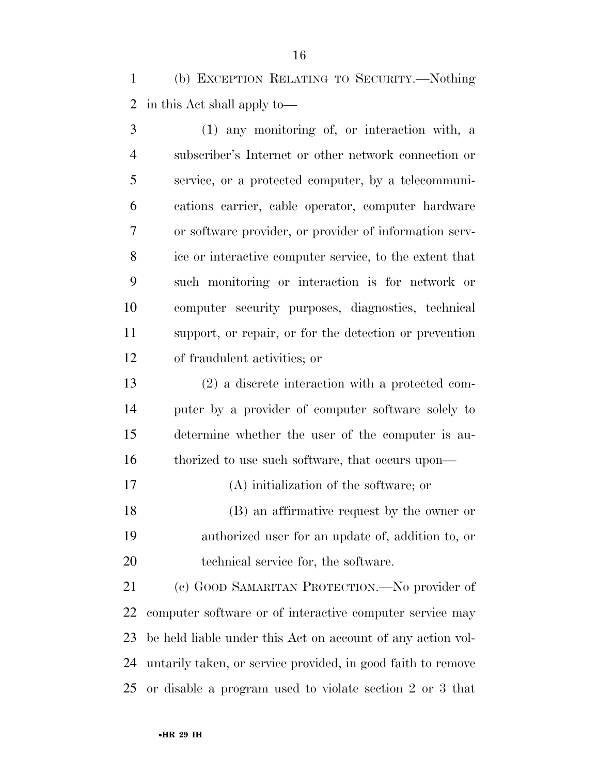(b) EXCEPTION RELATING TO SECURITY.—Nothing in this Act shall apply to—

 (1) any monitoring of, or interaction with, a subscriber's Internet or other network connection or service, or a protected computer, by a telecommuni- cations carrier, cable operator, computer hardware or software provider, or provider of information serv- ice or interactive computer service, to the extent that such monitoring or interaction is for network or computer security purposes, diagnostics, technical support, or repair, or for the detection or prevention of fraudulent activities; or

 (2) a discrete interaction with a protected com- puter by a provider of computer software solely to determine whether the user of the computer is au-16 thorized to use such software, that occurs upon—

(A) initialization of the software; or

 (B) an affirmative request by the owner or authorized user for an update of, addition to, or technical service for, the software.

 (c) GOOD SAMARITAN PROTECTION.—No provider of computer software or of interactive computer service may be held liable under this Act on account of any action vol- untarily taken, or service provided, in good faith to remove or disable a program used to violate section 2 or 3 that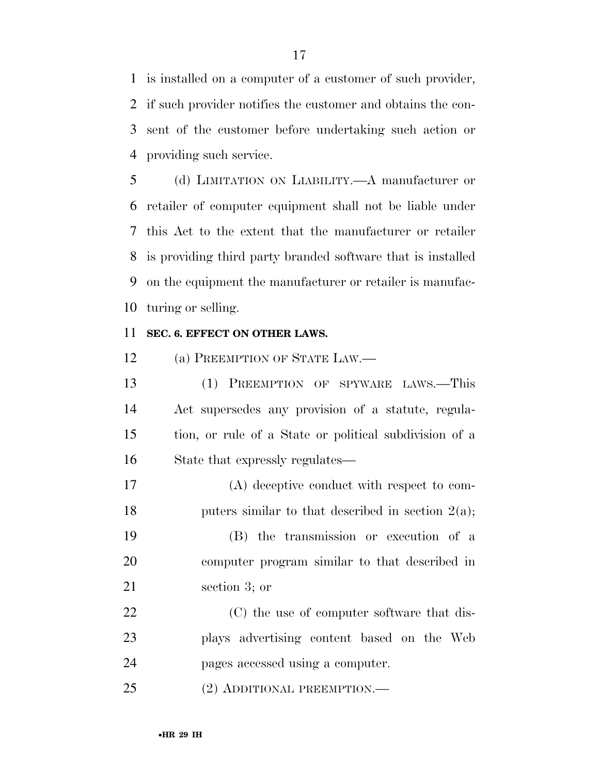is installed on a computer of a customer of such provider, if such provider notifies the customer and obtains the con- sent of the customer before undertaking such action or providing such service.

 (d) LIMITATION ON LIABILITY.—A manufacturer or retailer of computer equipment shall not be liable under this Act to the extent that the manufacturer or retailer is providing third party branded software that is installed on the equipment the manufacturer or retailer is manufac-turing or selling.

#### **SEC. 6. EFFECT ON OTHER LAWS.**

(a) PREEMPTION OF STATE LAW.—

 (1) PREEMPTION OF SPYWARE LAWS.—This Act supersedes any provision of a statute, regula- tion, or rule of a State or political subdivision of a State that expressly regulates—

 (A) deceptive conduct with respect to com-18 puters similar to that described in section  $2(a)$ ;

 (B) the transmission or execution of a computer program similar to that described in section 3; or

 (C) the use of computer software that dis- plays advertising content based on the Web pages accessed using a computer.

(2) ADDITIONAL PREEMPTION.—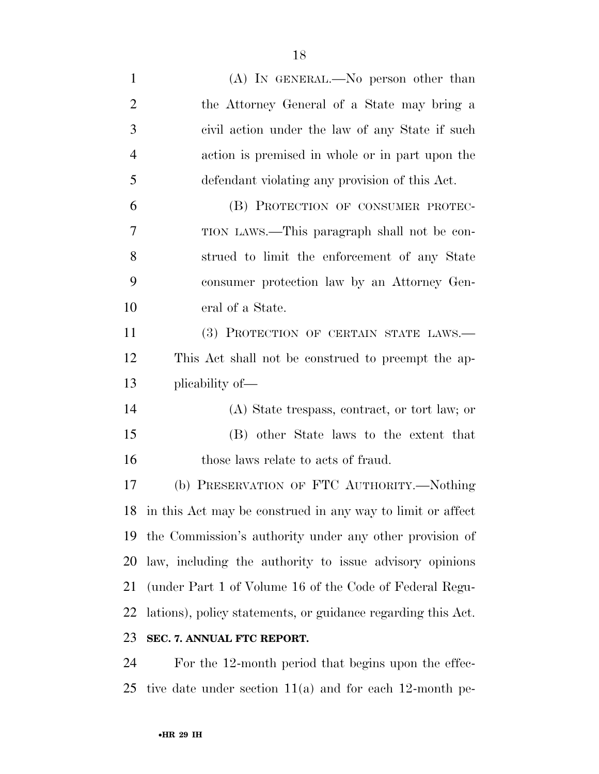(A) IN GENERAL.—No person other than the Attorney General of a State may bring a civil action under the law of any State if such action is premised in whole or in part upon the defendant violating any provision of this Act. (B) PROTECTION OF CONSUMER PROTEC- TION LAWS.—This paragraph shall not be con- strued to limit the enforcement of any State consumer protection law by an Attorney Gen- eral of a State. (3) PROTECTION OF CERTAIN STATE LAWS.— This Act shall not be construed to preempt the ap- plicability of— (A) State trespass, contract, or tort law; or (B) other State laws to the extent that 16 those laws relate to acts of fraud. (b) PRESERVATION OF FTC AUTHORITY.—Nothing in this Act may be construed in any way to limit or affect the Commission's authority under any other provision of law, including the authority to issue advisory opinions (under Part 1 of Volume 16 of the Code of Federal Regu- lations), policy statements, or guidance regarding this Act. **SEC. 7. ANNUAL FTC REPORT.**  For the 12-month period that begins upon the effec-

tive date under section 11(a) and for each 12-month pe-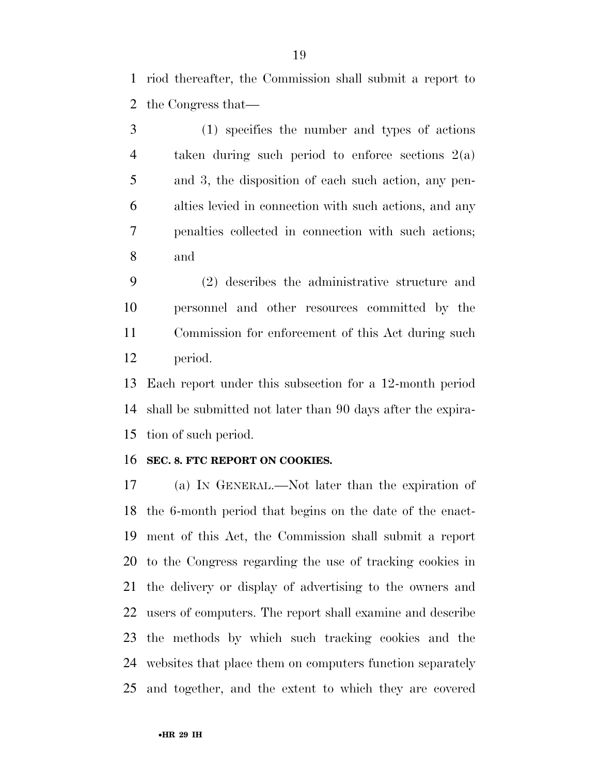riod thereafter, the Commission shall submit a report to the Congress that—

 (1) specifies the number and types of actions taken during such period to enforce sections 2(a) and 3, the disposition of each such action, any pen- alties levied in connection with such actions, and any penalties collected in connection with such actions; and

 (2) describes the administrative structure and personnel and other resources committed by the Commission for enforcement of this Act during such period.

 Each report under this subsection for a 12-month period shall be submitted not later than 90 days after the expira-tion of such period.

#### **SEC. 8. FTC REPORT ON COOKIES.**

 (a) IN GENERAL.—Not later than the expiration of the 6-month period that begins on the date of the enact- ment of this Act, the Commission shall submit a report to the Congress regarding the use of tracking cookies in the delivery or display of advertising to the owners and users of computers. The report shall examine and describe the methods by which such tracking cookies and the websites that place them on computers function separately and together, and the extent to which they are covered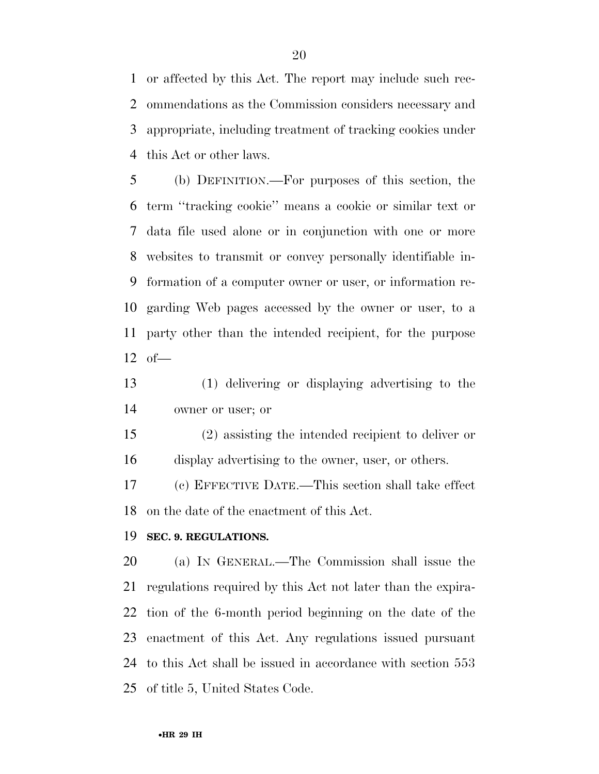or affected by this Act. The report may include such rec- ommendations as the Commission considers necessary and appropriate, including treatment of tracking cookies under this Act or other laws.

 (b) DEFINITION.—For purposes of this section, the term ''tracking cookie'' means a cookie or similar text or data file used alone or in conjunction with one or more websites to transmit or convey personally identifiable in- formation of a computer owner or user, or information re- garding Web pages accessed by the owner or user, to a party other than the intended recipient, for the purpose of—

 (1) delivering or displaying advertising to the owner or user; or

 (2) assisting the intended recipient to deliver or display advertising to the owner, user, or others.

 (c) EFFECTIVE DATE.—This section shall take effect on the date of the enactment of this Act.

#### **SEC. 9. REGULATIONS.**

 (a) IN GENERAL.—The Commission shall issue the regulations required by this Act not later than the expira- tion of the 6-month period beginning on the date of the enactment of this Act. Any regulations issued pursuant to this Act shall be issued in accordance with section 553 of title 5, United States Code.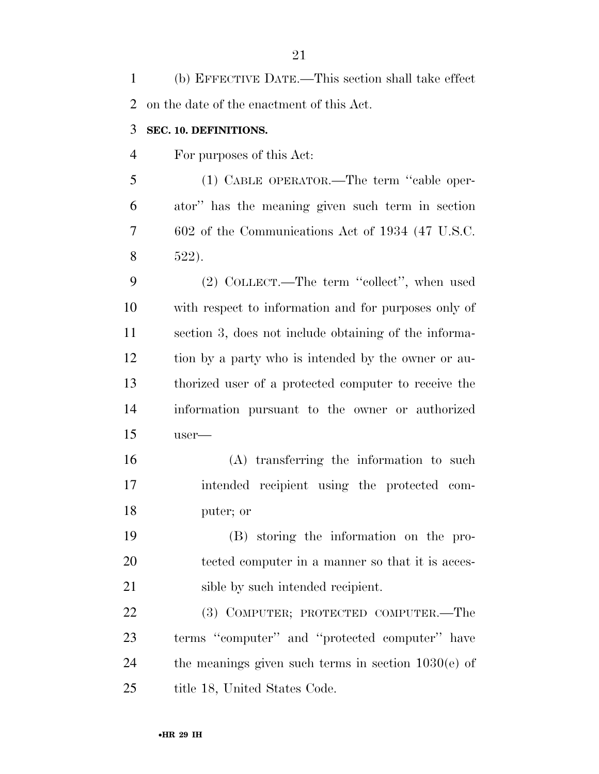(b) EFFECTIVE DATE.—This section shall take effect on the date of the enactment of this Act.

#### **SEC. 10. DEFINITIONS.**

For purposes of this Act:

 (1) CABLE OPERATOR.—The term ''cable oper- ator'' has the meaning given such term in section 602 of the Communications Act of 1934 (47 U.S.C. 522).

 (2) COLLECT.—The term ''collect'', when used with respect to information and for purposes only of section 3, does not include obtaining of the informa- tion by a party who is intended by the owner or au- thorized user of a protected computer to receive the information pursuant to the owner or authorized user—

 (A) transferring the information to such intended recipient using the protected com-puter; or

 (B) storing the information on the pro- tected computer in a manner so that it is acces-21 sible by such intended recipient.

 (3) COMPUTER; PROTECTED COMPUTER.—The terms ''computer'' and ''protected computer'' have the meanings given such terms in section 1030(e) of 25 title 18, United States Code.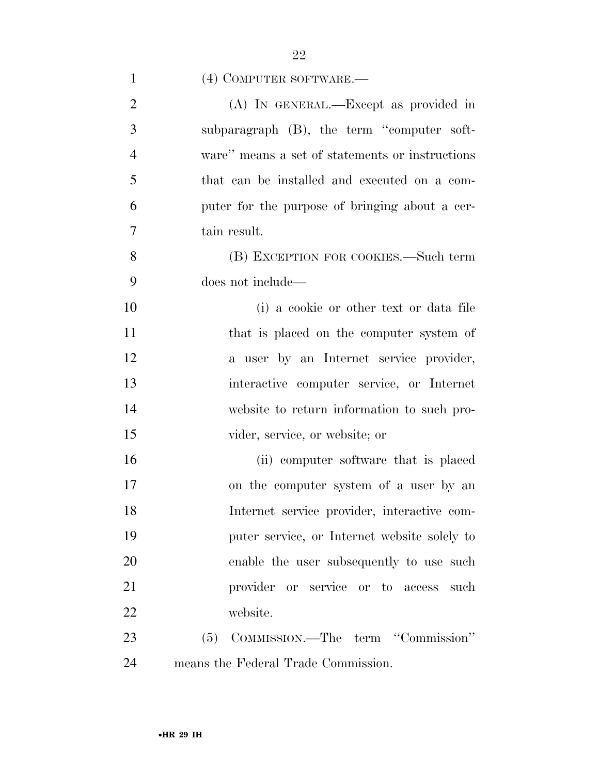| $\mathbf{1}$   | (4) COMPUTER SOFTWARE.—                         |
|----------------|-------------------------------------------------|
| $\overline{2}$ | (A) IN GENERAL.—Except as provided in           |
| 3              | subparagraph (B), the term "computer soft-      |
| $\overline{4}$ | ware" means a set of statements or instructions |
| 5              | that can be installed and executed on a com-    |
| 6              | puter for the purpose of bringing about a cer-  |
| $\overline{7}$ | tain result.                                    |
| 8              | (B) EXCEPTION FOR COOKIES.—Such term            |
| 9              | does not include—                               |
| 10             | (i) a cookie or other text or data file         |
| 11             | that is placed on the computer system of        |
| 12             | a user by an Internet service provider,         |
| 13             | interactive computer service, or Internet       |
| 14             | website to return information to such pro-      |
| 15             | vider, service, or website; or                  |
| 16             | (ii) computer software that is placed           |
| 17             | on the computer system of a user by an          |
| 18             | Internet service provider, interactive com-     |
| 19             | puter service, or Internet website solely to    |
| 20             | enable the user subsequently to use such        |
| 21             | provider or service or to access<br>such        |
| 22             | website.                                        |
| 23             | (5) COMMISSION.—The term "Commission"           |
| 24             | means the Federal Trade Commission.             |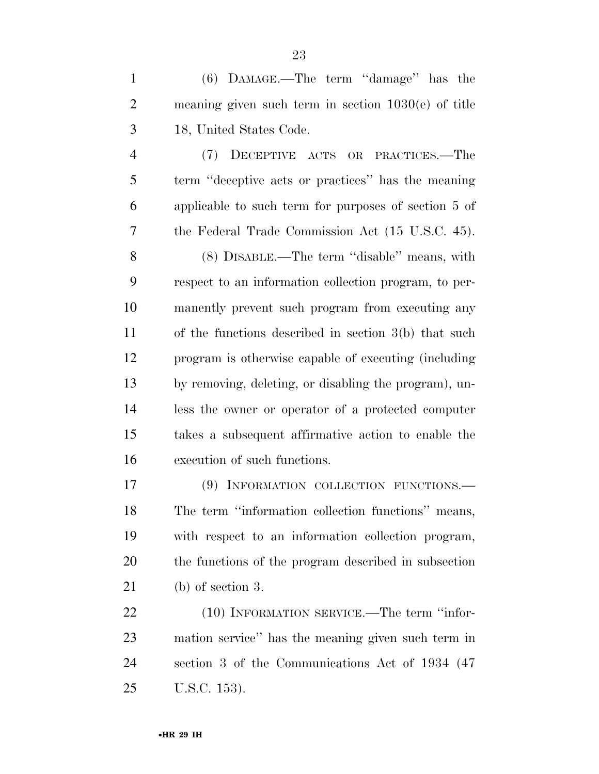(6) DAMAGE.—The term ''damage'' has the meaning given such term in section 1030(e) of title 18, United States Code.

 (7) DECEPTIVE ACTS OR PRACTICES.—The term ''deceptive acts or practices'' has the meaning applicable to such term for purposes of section 5 of the Federal Trade Commission Act (15 U.S.C. 45).

 (8) DISABLE.—The term ''disable'' means, with respect to an information collection program, to per- manently prevent such program from executing any of the functions described in section 3(b) that such program is otherwise capable of executing (including by removing, deleting, or disabling the program), un- less the owner or operator of a protected computer takes a subsequent affirmative action to enable the execution of such functions.

 (9) INFORMATION COLLECTION FUNCTIONS.— The term ''information collection functions'' means, with respect to an information collection program, the functions of the program described in subsection (b) of section 3.

22 (10) INFORMATION SERVICE.—The term "infor- mation service'' has the meaning given such term in section 3 of the Communications Act of 1934 (47 U.S.C. 153).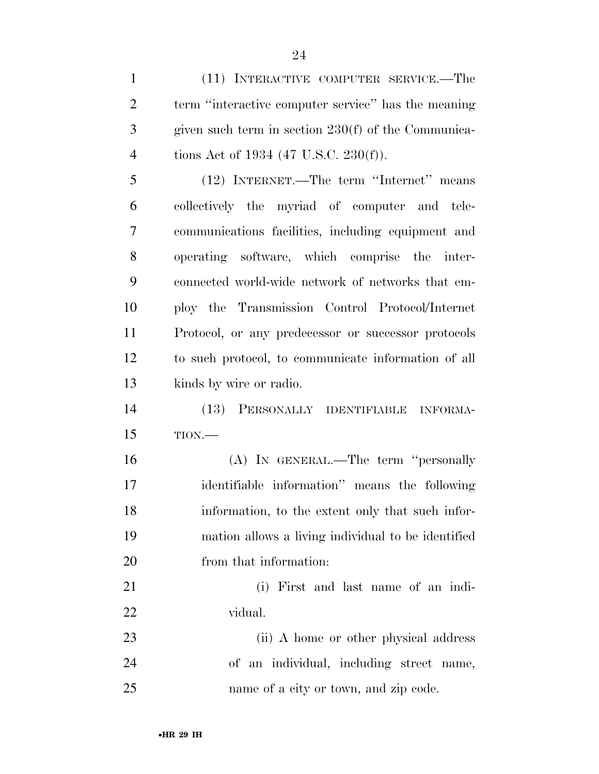(11) INTERACTIVE COMPUTER SERVICE.—The term ''interactive computer service'' has the meaning given such term in section 230(f) of the Communica-4 tions Act of 1934 (47 U.S.C. 230(f)).

 (12) INTERNET.—The term ''Internet'' means collectively the myriad of computer and tele- communications facilities, including equipment and operating software, which comprise the inter- connected world-wide network of networks that em- ploy the Transmission Control Protocol/Internet Protocol, or any predecessor or successor protocols to such protocol, to communicate information of all kinds by wire or radio.

 (13) PERSONALLY IDENTIFIABLE INFORMA-TION.—

 (A) IN GENERAL.—The term ''personally identifiable information'' means the following information, to the extent only that such infor- mation allows a living individual to be identified from that information:

 (i) First and last name of an indi-vidual.

 (ii) A home or other physical address of an individual, including street name, name of a city or town, and zip code.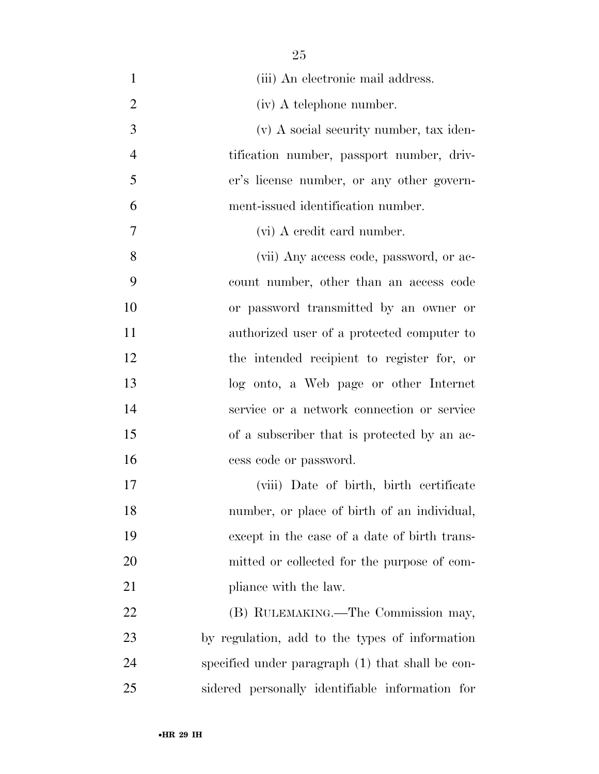(iii) An electronic mail address. (iv) A telephone number. (v) A social security number, tax iden- tification number, passport number, driv- er's license number, or any other govern- ment-issued identification number. (vi) A credit card number. (vii) Any access code, password, or ac- count number, other than an access code or password transmitted by an owner or authorized user of a protected computer to the intended recipient to register for, or log onto, a Web page or other Internet service or a network connection or service of a subscriber that is protected by an ac-16 cess code or password. (viii) Date of birth, birth certificate number, or place of birth of an individual, except in the case of a date of birth trans- mitted or collected for the purpose of com-21 pliance with the law. 22 (B) RULEMAKING.—The Commission may, by regulation, add to the types of information specified under paragraph (1) that shall be con-sidered personally identifiable information for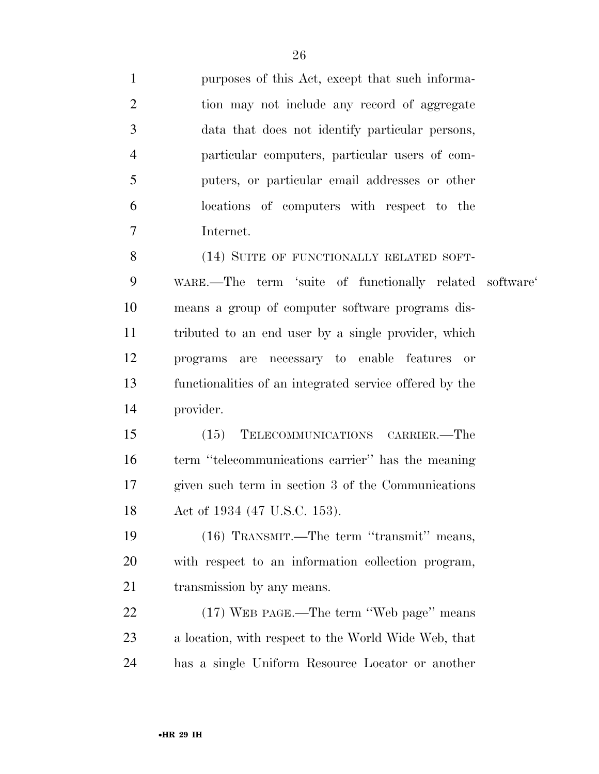purposes of this Act, except that such informa- tion may not include any record of aggregate data that does not identify particular persons, particular computers, particular users of com- puters, or particular email addresses or other locations of computers with respect to the Internet.

8 (14) SUITE OF FUNCTIONALLY RELATED SOFT- WARE.—The term 'suite of functionally related software' means a group of computer software programs dis- tributed to an end user by a single provider, which programs are necessary to enable features or functionalities of an integrated service offered by the provider.

 (15) TELECOMMUNICATIONS CARRIER.—The term ''telecommunications carrier'' has the meaning given such term in section 3 of the Communications Act of 1934 (47 U.S.C. 153).

 (16) TRANSMIT.—The term ''transmit'' means, with respect to an information collection program, 21 transmission by any means.

 (17) WEB PAGE.—The term ''Web page'' means a location, with respect to the World Wide Web, that has a single Uniform Resource Locator or another